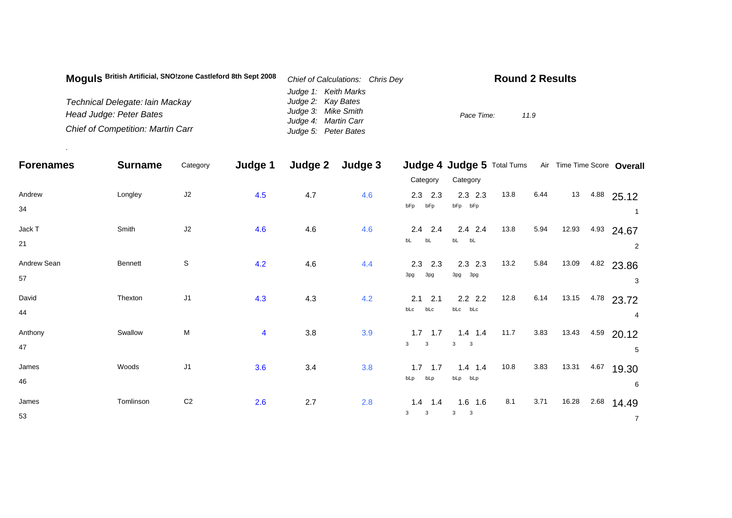| Moguls British Artificial, SNO!zone Castleford 8th Sept 2008 | Chief of Calculations: Chris Dey | <b>Round 2 Results</b> |
|--------------------------------------------------------------|----------------------------------|------------------------|
|                                                              | Judge 1: Keith Marks             |                        |
| Technical Delegate: lain Mackay                              | Judge 2: Kay Bates               |                        |
| Head Judge: Peter Bates                                      | Judge 3: Mike Smith              | Pace Time:<br>11.9     |
|                                                              | Judge 4: Martin Carr             |                        |
| <b>Chief of Competition: Martin Carr</b>                     | Judge 5: Peter Bates             |                        |

.

| <b>Forenames</b>  | <b>Surname</b> | Category       | Judge 1        | Judge 2 | Judge 3 |                                                      | Judge 4 Judge 5 Total Turns Air Time Time Score Overall |      |      |       |      |                              |
|-------------------|----------------|----------------|----------------|---------|---------|------------------------------------------------------|---------------------------------------------------------|------|------|-------|------|------------------------------|
|                   |                |                |                |         |         | Category                                             | Category                                                |      |      |       |      |                              |
| Andrew<br>34      | Longley        | J2             | 4.5            | 4.7     | 4.6     | $2.3$ $2.3$<br>bFp<br>bFp                            | $2.3$ 2.3<br>bFp bFp                                    | 13.8 | 6.44 | 13    |      | $4.88$ 25.12                 |
| Jack T<br>21      | Smith          | J2             | 4.6            | 4.6     | 4.6     | $2.4$ 2.4<br>bL<br>bL                                | $2.4$ 2.4<br>$bL$ $bL$                                  | 13.8 | 5.94 | 12.93 |      | 4.93 24.67<br>$\overline{2}$ |
| Andrew Sean<br>57 | Bennett        | $\mathbb S$    | 4.2            | 4.6     | 4.4     | $2.3$ $2.3$<br>3pg<br>3pg                            | $2.3$ 2.3<br>3pg<br>3pg                                 | 13.2 | 5.84 | 13.09 |      | 4.82 23.86<br>3              |
| David<br>44       | Thexton        | J <sub>1</sub> | 4.3            | 4.3     | 4.2     | $2.1$ 2.1<br>bLc<br>bLc                              | $2.2$ 2.2<br>bLc bLc                                    | 12.8 | 6.14 | 13.15 |      | 4.78 23.72<br>4              |
| Anthony<br>47     | Swallow        | M              | $\overline{4}$ | 3.8     | 3.9     | $1.7$ 1.7<br>$\mathbf{3}$<br>$\overline{\mathbf{3}}$ | $1.4$ 1.4<br>3<br>$\overline{\phantom{a}}$ 3            | 11.7 | 3.83 | 13.43 |      | 4.59 20.12<br>5              |
| James<br>46       | Woods          | J1             | 3.6            | 3.4     | 3.8     | $1.7$ 1.7<br>bLp<br>bLp                              | $1.4$ 1.4<br>bLp bLp                                    | 10.8 | 3.83 | 13.31 | 4.67 | 19.30<br>6                   |
| James<br>53       | Tomlinson      | C <sub>2</sub> | 2.6            | 2.7     | 2.8     | $1.4$ 1.4<br>3<br>$\mathbf{3}$                       | $1.6$ 1.6<br>3<br>$\overline{\mathbf{3}}$               | 8.1  | 3.71 | 16.28 | 2.68 | 14.49<br>$\overline{7}$      |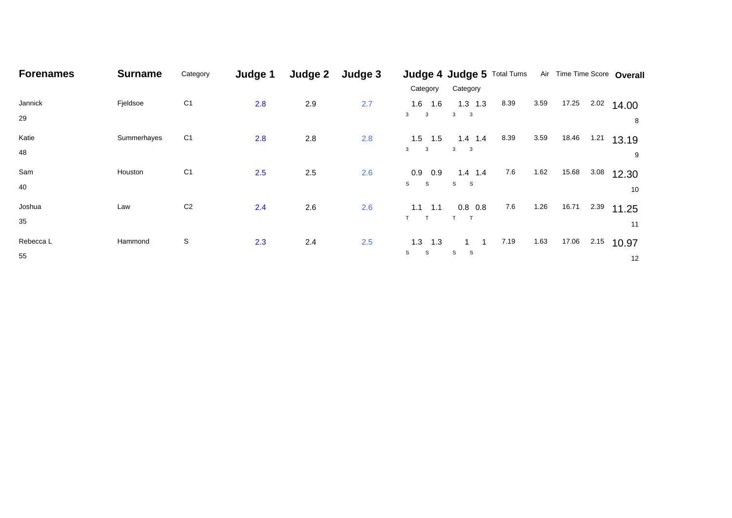| <b>Forenames</b> | <b>Surname</b> | Category       | Judge 1 | Judge 2 | Judge 3 |                              | Judge 4 Judge 5 Total Turns              |         |      | Air Time Time Score Overall |      |              |
|------------------|----------------|----------------|---------|---------|---------|------------------------------|------------------------------------------|---------|------|-----------------------------|------|--------------|
|                  |                |                |         |         |         | Category                     | Category                                 |         |      |                             |      |              |
| Jannick          | Fjeldsoe       | C <sub>1</sub> | 2.8     | 2.9     | 2.7     | 1.6<br>1.6                   | $1.3$ 1.3                                | 8.39    | 3.59 | 17.25                       | 2.02 | 14.00        |
| 29               |                |                |         |         |         | 3<br>$\mathbf{3}$            | $\mathbf{3}$<br>$\overline{\phantom{a}}$ |         |      |                             |      | 8            |
| Katie            | Summerhayes    | C <sub>1</sub> | 2.8     | 2.8     | 2.8     | 1.5<br>1.5                   | $1.4$ 1.4                                | 8.39    | 3.59 | 18.46                       | 1.21 | 13.19        |
| 48               |                |                |         |         |         | $\overline{\mathbf{3}}$<br>3 | $3 \qquad 3$                             |         |      |                             |      | 9            |
| Sam              | Houston        | C <sub>1</sub> | 2.5     | 2.5     | 2.6     | 0.9<br>0.9                   | $1.4$ 1.4                                | $7.6\,$ | 1.62 | 15.68                       | 3.08 | 12.30        |
| 40               |                |                |         |         |         | S<br>S                       | S<br>- S                                 |         |      |                             |      | 10           |
| Joshua           | Law            | C <sub>2</sub> | 2.4     | 2.6     | 2.6     | 1.1<br>1.1                   | $0.8\ 0.8$                               | $7.6\,$ | 1.26 | 16.71                       | 2.39 | 11.25        |
| 35               |                |                |         |         |         | T<br>$\mathsf{T}$            | $\mathsf{T}$                             |         |      |                             |      | 11           |
| Rebecca L        | Hammond        | S              | 2.3     | 2.4     | 2.5     | 1.3<br>1.3                   |                                          | 7.19    | 1.63 | 17.06                       |      | $2.15$ 10.97 |
| 55               |                |                |         |         |         | S<br>S                       | S<br>-S                                  |         |      |                             |      | 12           |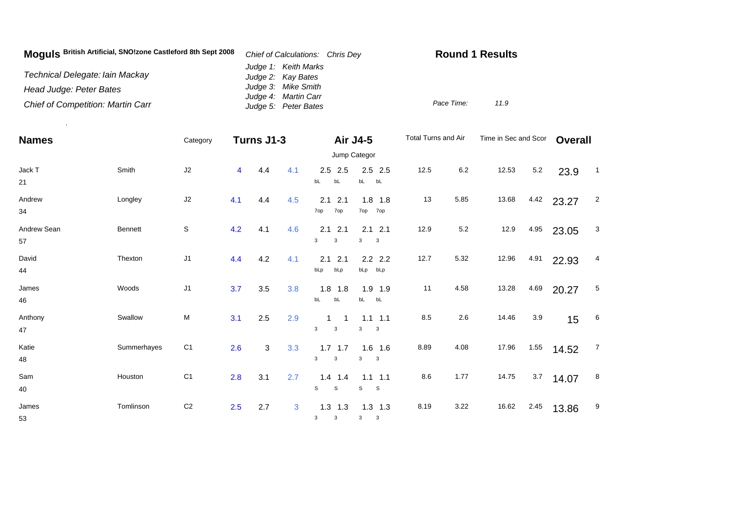| Moguls British Artificial, SNO!zone Castleford 8th Sept 2008 | Chief of Calculations: Chris Dey             | <b>Round 1 Results</b> |  |  |  |  |
|--------------------------------------------------------------|----------------------------------------------|------------------------|--|--|--|--|
| Technical Delegate: Iain Mackay                              | Judge 1: Keith Marks<br>Judge 2: Kay Bates   |                        |  |  |  |  |
| Head Judge: Peter Bates                                      | Judge 3: Mike Smith                          |                        |  |  |  |  |
| <b>Chief of Competition: Martin Carr</b>                     | Judge 4: Martin Carr<br>Judge 5: Peter Bates | Pace Time:<br>11.9     |  |  |  |  |

.

| <b>Names</b> |                | Category       |     | Turns J1-3 |              |                   | Air J4-5                     | Total Turns and Air |         | Time in Sec and Scor | <b>Overall</b> |       |                 |  |  |
|--------------|----------------|----------------|-----|------------|--------------|-------------------|------------------------------|---------------------|---------|----------------------|----------------|-------|-----------------|--|--|
|              |                |                |     |            |              |                   | Jump Categor                 |                     |         |                      |                |       |                 |  |  |
| Jack T       | Smith          | J2             | 4   | 4.4        | 4.1          | $2.5$ 2.5         | $2.5$ 2.5                    | 12.5                | 6.2     | 12.53                | $5.2\,$        | 23.9  | $\overline{1}$  |  |  |
| 21           |                |                |     |            |              | bL<br>bL          | bL bL                        |                     |         |                      |                |       |                 |  |  |
| Andrew       | Longley        | J2             | 4.1 | 4.4        | 4.5          | 2.1<br>2.1        | $1.8$ 1.8                    | 13                  | 5.85    | 13.68                | 4.42           | 23.27 | $\overline{c}$  |  |  |
| 34           |                |                |     |            |              | 7op<br>7op        | 7op 7op                      |                     |         |                      |                |       |                 |  |  |
| Andrew Sean  | <b>Bennett</b> | $\mathsf S$    | 4.2 | 4.1        | 4.6          | 2.1<br>2.1        | $2.1$ 2.1                    | 12.9                | $5.2\,$ | 12.9                 | 4.95           | 23.05 | 3               |  |  |
| 57           |                |                |     |            |              | 3<br>3            | 3<br>$\overline{\mathbf{3}}$ |                     |         |                      |                |       |                 |  |  |
| David        | Thexton        | J1             | 4.4 | 4.2        | 4.1          | 2.1<br>2.1        | $2.2$ 2.2                    | 12.7                | 5.32    | 12.96                | 4.91           | 22.93 | 4               |  |  |
| 44           |                |                |     |            |              | bLp<br>bLp        | bLp bLp                      |                     |         |                      |                |       |                 |  |  |
| James        | Woods          | J1             | 3.7 | 3.5        | 3.8          | 1.8<br>1.8        | 1.9 1.9                      | 11                  | 4.58    | 13.28                | 4.69           | 20.27 | $5\phantom{.0}$ |  |  |
| 46           |                |                |     |            |              | bL<br>bL          | bL bL                        |                     |         |                      |                |       |                 |  |  |
| Anthony      | Swallow        | M              | 3.1 | 2.5        | 2.9          | $\overline{1}$    | $1.1$ $1.1$                  | 8.5                 | 2.6     | 14.46                | 3.9            | 15    | $6\overline{6}$ |  |  |
| 47           |                |                |     |            |              | 3<br>3            | 3<br>$\overline{\mathbf{3}}$ |                     |         |                      |                |       |                 |  |  |
| Katie        | Summerhayes    | C <sub>1</sub> | 2.6 | 3          | 3.3          | $1.7$ 1.7         | $1.6$ 1.6                    | 8.89                | 4.08    | 17.96                | 1.55           | 14.52 | $\overline{7}$  |  |  |
| 48           |                |                |     |            |              | 3<br>3            | 3<br>$\overline{\mathbf{3}}$ |                     |         |                      |                |       |                 |  |  |
| Sam          | Houston        | C <sub>1</sub> | 2.8 | 3.1        | 2.7          | $1.4$ 1.4         | $1.1$ 1.1                    | 8.6                 | 1.77    | 14.75                | 3.7            | 14.07 | 8               |  |  |
| 40           |                |                |     |            |              | S<br>$\mathbb S$  | S<br>$\mathbf{s}$            |                     |         |                      |                |       |                 |  |  |
| James        | Tomlinson      | C <sub>2</sub> | 2.5 | 2.7        | $\mathbf{3}$ | $1.3$ 1.3         | $1.3$ $1.3$                  | 8.19                | 3.22    | 16.62                | 2.45           | 13.86 | 9               |  |  |
| 53           |                |                |     |            |              | $\mathbf{3}$<br>3 | 3<br>$\mathbf{3}$            |                     |         |                      |                |       |                 |  |  |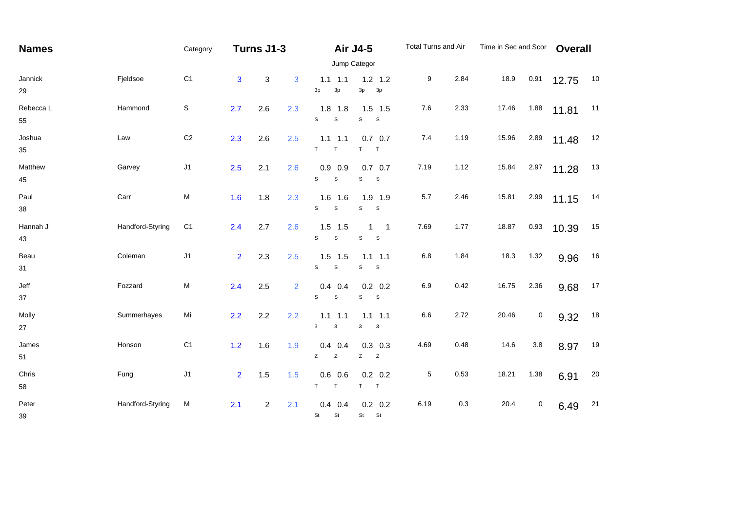| <b>Names</b>    |                  | Category       | Turns J1-3     |                |     |                                  | <b>Air J4-5</b>                                     | Total Turns and Air |         | Time in Sec and Scor |           | <b>Overall</b> |    |  |  |
|-----------------|------------------|----------------|----------------|----------------|-----|----------------------------------|-----------------------------------------------------|---------------------|---------|----------------------|-----------|----------------|----|--|--|
|                 |                  | Jump Categor   |                |                |     |                                  |                                                     |                     |         |                      |           |                |    |  |  |
| Jannick<br>29   | Fjeldsoe         | C <sub>1</sub> | $\mathbf{3}$   | 3              | 3   | $1.1 \quad 1.1$<br>3p<br>3p      | $1.2$ 1.2<br>3p<br>3p                               | 9                   | 2.84    | 18.9                 | 0.91      | 12.75          | 10 |  |  |
| Rebecca L<br>55 | Hammond          | $\mathsf S$    | 2.7            | 2.6            | 2.3 | $1.8$ 1.8<br>S<br>$\mathbb S$    | $1.5$ 1.5<br>S<br>S                                 | $7.6$               | 2.33    | 17.46                | 1.88      | 11.81          | 11 |  |  |
| Joshua<br>35    | Law              | C <sub>2</sub> | 2.3            | 2.6            | 2.5 | $1.1$ $1.1$<br>T<br>T.           | $0.7\quad 0.7$<br>T<br>T                            | 7.4                 | 1.19    | 15.96                | 2.89      | 11.48          | 12 |  |  |
| Matthew<br>45   | Garvey           | J1             | 2.5            | 2.1            | 2.6 | $0.9$ 0.9<br>s<br>$\mathsf S$    | $0.7\quad 0.7$<br>S<br>S                            | 7.19                | 1.12    | 15.84                | 2.97      | 11.28          | 13 |  |  |
| Paul<br>38      | Carr             | M              | 1.6            | 1.8            | 2.3 | $1.6$ 1.6<br>s<br>$\mathbb S$    | $1.9$ 1.9<br>S<br>$\mathbb S$                       | 5.7                 | 2.46    | 15.81                | 2.99      | 11.15          | 14 |  |  |
| Hannah J<br>43  | Handford-Styring | C <sub>1</sub> | 2.4            | 2.7            | 2.6 | $1.5$ 1.5<br>$\mathbb S$<br>s    | 1<br>$\overline{\phantom{0}}$ 1<br>$\mathbb S$<br>S | 7.69                | 1.77    | 18.87                | 0.93      | 10.39          | 15 |  |  |
| Beau<br>31      | Coleman          | J1             | $\overline{2}$ | 2.3            | 2.5 | $1.5$ 1.5<br>s<br>$\mathbb S$    | $1.1$ 1.1<br>S<br>$\mathsf S$                       | 6.8                 | 1.84    | 18.3                 | 1.32      | 9.96           | 16 |  |  |
| Jeff<br>$37\,$  | Fozzard          | M              | 2.4            | 2.5            | 2   | $0.4$ 0.4<br>S<br>$\mathbb S$    | $0.2 \quad 0.2$<br>$\mathsf S$<br>S                 | 6.9                 | 0.42    | 16.75                | 2.36      | 9.68           | 17 |  |  |
| Molly<br>27     | Summerhayes      | Mi             | 2.2            | 2.2            | 2.2 | $1.1$ $1.1$<br>3<br>$\mathbf{3}$ | $1.1$ $1.1$<br>3<br>$\mathbf{3}$                    | 6.6                 | 2.72    | 20.46                | 0         | 9.32           | 18 |  |  |
| James<br>51     | Honson           | C <sub>1</sub> | $1.2$          | 1.6            | 1.9 | $0.4$ 0.4<br>Z<br>$\mathsf Z$    | $0.3$ 0.3<br>Z<br>Z                                 | 4.69                | 0.48    | 14.6                 | $3.8\,$   | 8.97           | 19 |  |  |
| Chris<br>58     | Fung             | J <sub>1</sub> | 2 <sup>1</sup> | 1.5            | 1.5 | $0.6$ 0.6<br>T<br>T              | $0.2 \quad 0.2$<br>T<br>$\top$                      | 5                   | 0.53    | 18.21                | 1.38      | 6.91           | 20 |  |  |
| Peter<br>39     | Handford-Styring | M              | 2.1            | $\overline{c}$ | 2.1 | $0.4$ 0.4<br>St<br>St            | $0.2\ 0.2$<br>St St                                 | 6.19                | $0.3\,$ | 20.4                 | $\pmb{0}$ | 6.49           | 21 |  |  |